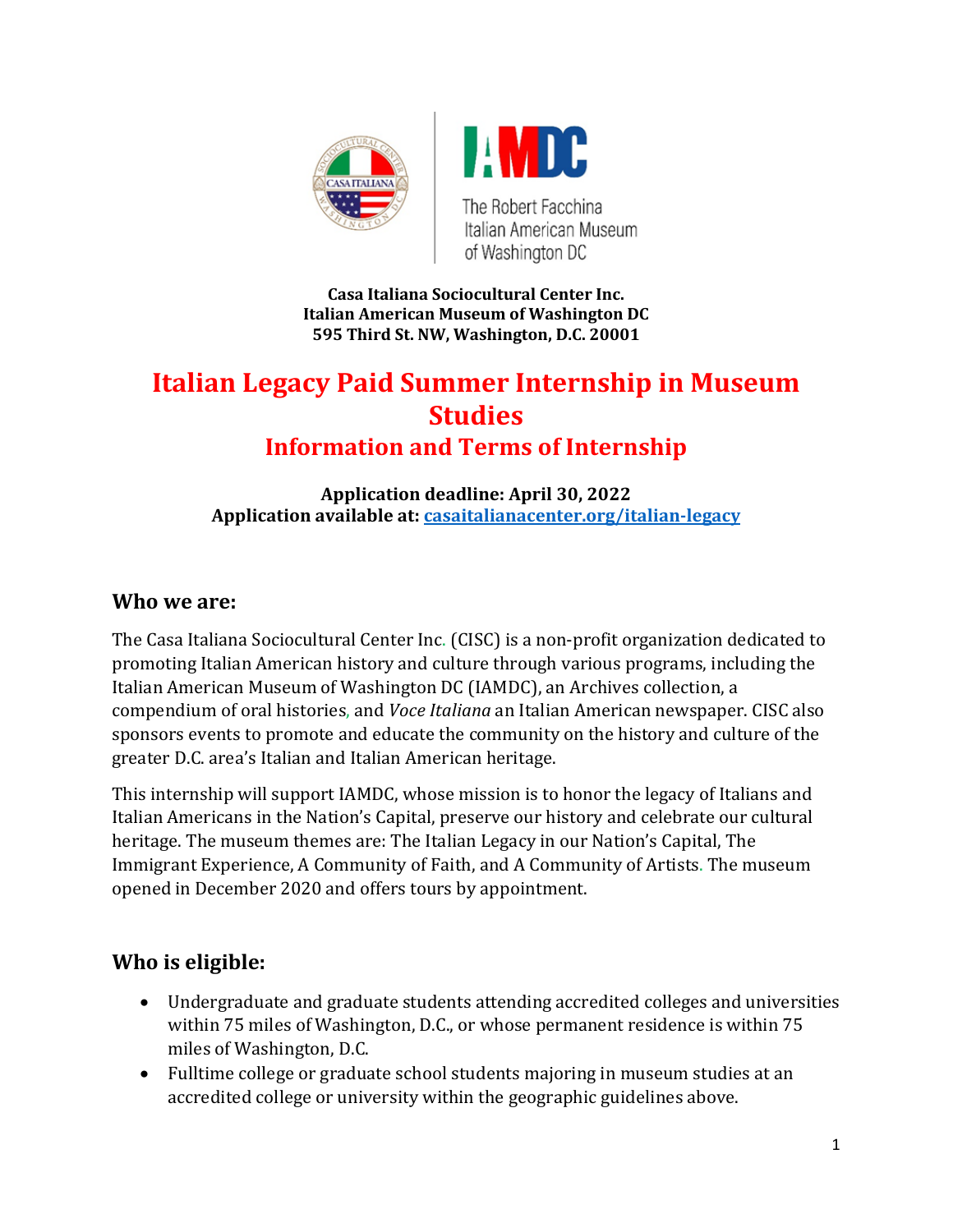



The Robert Facchina Italian American Museum of Washington DC

**Casa Italiana Sociocultural Center Inc. Italian American Museum of Washington DC 595 Third St. NW, Washington, D.C. 20001**

# **Italian Legacy Paid Summer Internship in Museum Studies**

# **Information and Terms of Internship**

**Application deadline: April 30, 2022 Application available at: [casaitalianacenter.org/italian-legacy](https://www.casaitalianacenter.org/italian-legacy)** 

#### **Who we are:**

The Casa Italiana Sociocultural Center Inc. (CISC) is a non-profit organization dedicated to promoting Italian American history and culture through various programs, including the Italian American Museum of Washington DC (IAMDC), an Archives collection, a compendium of oral histories, and *Voce Italiana* an Italian American newspaper. CISC also sponsors events to promote and educate the community on the history and culture of the greater D.C. area's Italian and Italian American heritage.

This internship will support IAMDC, whose mission is to honor the legacy of Italians and Italian Americans in the Nation's Capital, preserve our history and celebrate our cultural heritage. The museum themes are: The Italian Legacy in our Nation's Capital, The Immigrant Experience, A Community of Faith, and A Community of Artists. The museum opened in December 2020 and offers tours by appointment.

### **Who is eligible:**

- Undergraduate and graduate students attending accredited colleges and universities within 75 miles of Washington, D.C., or whose permanent residence is within 75 miles of Washington, D.C.
- Fulltime college or graduate school students majoring in museum studies at an accredited college or university within the geographic guidelines above.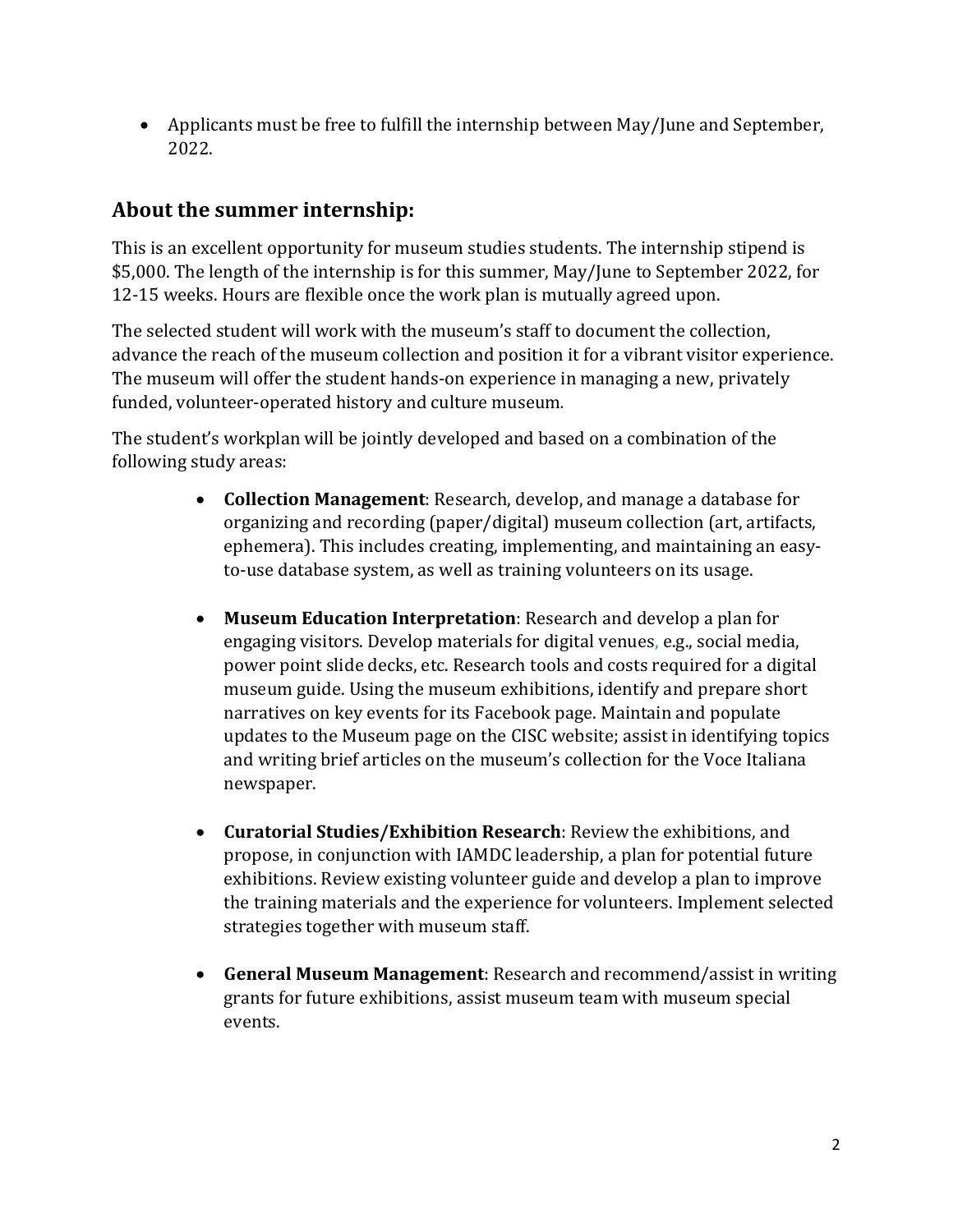• Applicants must be free to fulfill the internship between May/June and September, 2022.

### **About the summer internship:**

This is an excellent opportunity for museum studies students. The internship stipend is \$5,000. The length of the internship is for this summer, May/June to September 2022, for 12-15 weeks. Hours are flexible once the work plan is mutually agreed upon.

The selected student will work with the museum's staff to document the collection, advance the reach of the museum collection and position it for a vibrant visitor experience. The museum will offer the student hands-on experience in managing a new, privately funded, volunteer-operated history and culture museum*.* 

The student's workplan will be jointly developed and based on a combination of the following study areas:

- **Collection Management**: Research, develop, and manage a database for organizing and recording (paper/digital) museum collection (art, artifacts, ephemera). This includes creating, implementing, and maintaining an easyto-use database system, as well as training volunteers on its usage.
- **Museum Education Interpretation**: Research and develop a plan for engaging visitors. Develop materials for digital venues, e.g., social media, power point slide decks, etc. Research tools and costs required for a digital museum guide. Using the museum exhibitions, identify and prepare short narratives on key events for its Facebook page. Maintain and populate updates to the Museum page on the CISC website; assist in identifying topics and writing brief articles on the museum's collection for the Voce Italiana newspaper.
- **Curatorial Studies/Exhibition Research**: Review the exhibitions, and propose, in conjunction with IAMDC leadership, a plan for potential future exhibitions. Review existing volunteer guide and develop a plan to improve the training materials and the experience for volunteers. Implement selected strategies together with museum staff.
- **General Museum Management**: Research and recommend/assist in writing grants for future exhibitions, assist museum team with museum special events.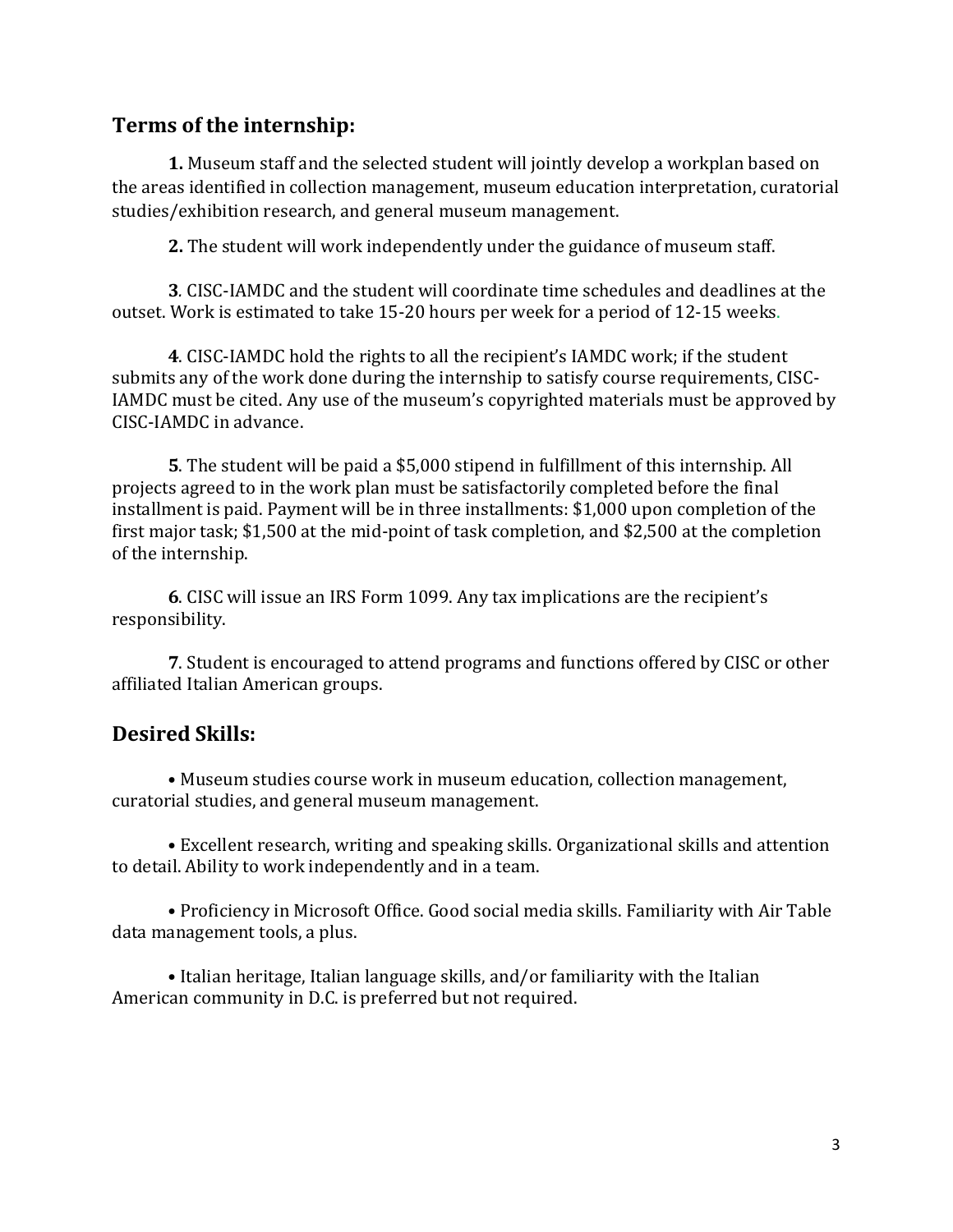#### **Terms of the internship:**

**1.** Museum staff and the selected student will jointly develop a workplan based on the areas identified in collection management, museum education interpretation, curatorial studies/exhibition research, and general museum management.

**2.** The student will work independently under the guidance of museum staff.

**3***.* CISC-IAMDC and the student will coordinate time schedules and deadlines at the outset. Work is estimated to take 15-20 hours per week for a period of 12-15 weeks.

**4**. CISC-IAMDC hold the rights to all the recipient's IAMDC work; if the student submits any of the work done during the internship to satisfy course requirements, CISC-IAMDC must be cited. Any use of the museum's copyrighted materials must be approved by CISC-IAMDC in advance.

**5**. The student will be paid a \$5,000 stipend in fulfillment of this internship. All projects agreed to in the work plan must be satisfactorily completed before the final installment is paid. Payment will be in three installments: \$1,000 upon completion of the first major task; \$1,500 at the mid-point of task completion, and \$2,500 at the completion of the internship.

**6**. CISC will issue an IRS Form 1099. Any tax implications are the recipient's responsibility.

**7**. Student is encouraged to attend programs and functions offered by CISC or other affiliated Italian American groups.

### **Desired Skills:**

• Museum studies course work in museum education, collection management, curatorial studies, and general museum management.

• Excellent research, writing and speaking skills. Organizational skills and attention to detail. Ability to work independently and in a team.

• Proficiency in Microsoft Office. Good social media skills. Familiarity with Air Table data management tools, a plus.

• Italian heritage, Italian language skills, and/or familiarity with the Italian American community in D.C. is preferred but not required.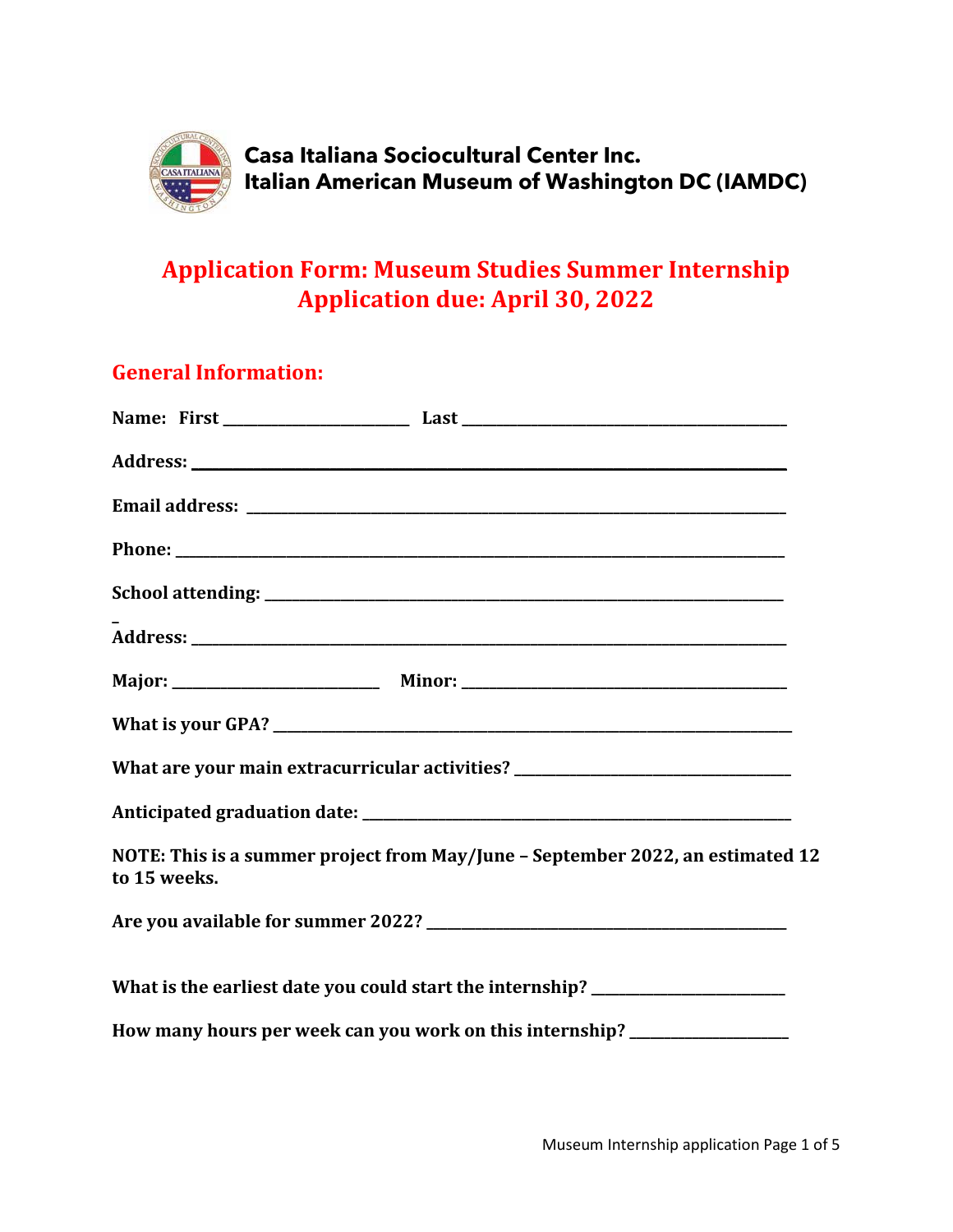

# **Application Form: Museum Studies Summer Internship Application due: April 30, 2022**

## **General Information:**

|              | What are your main extracurricular activities? _________________________________ |
|--------------|----------------------------------------------------------------------------------|
|              |                                                                                  |
| to 15 weeks. | NOTE: This is a summer project from May/June - September 2022, an estimated 12   |
|              |                                                                                  |
|              | What is the earliest date you could start the internship? ______________________ |
|              | How many hours per week can you work on this internship? _______________________ |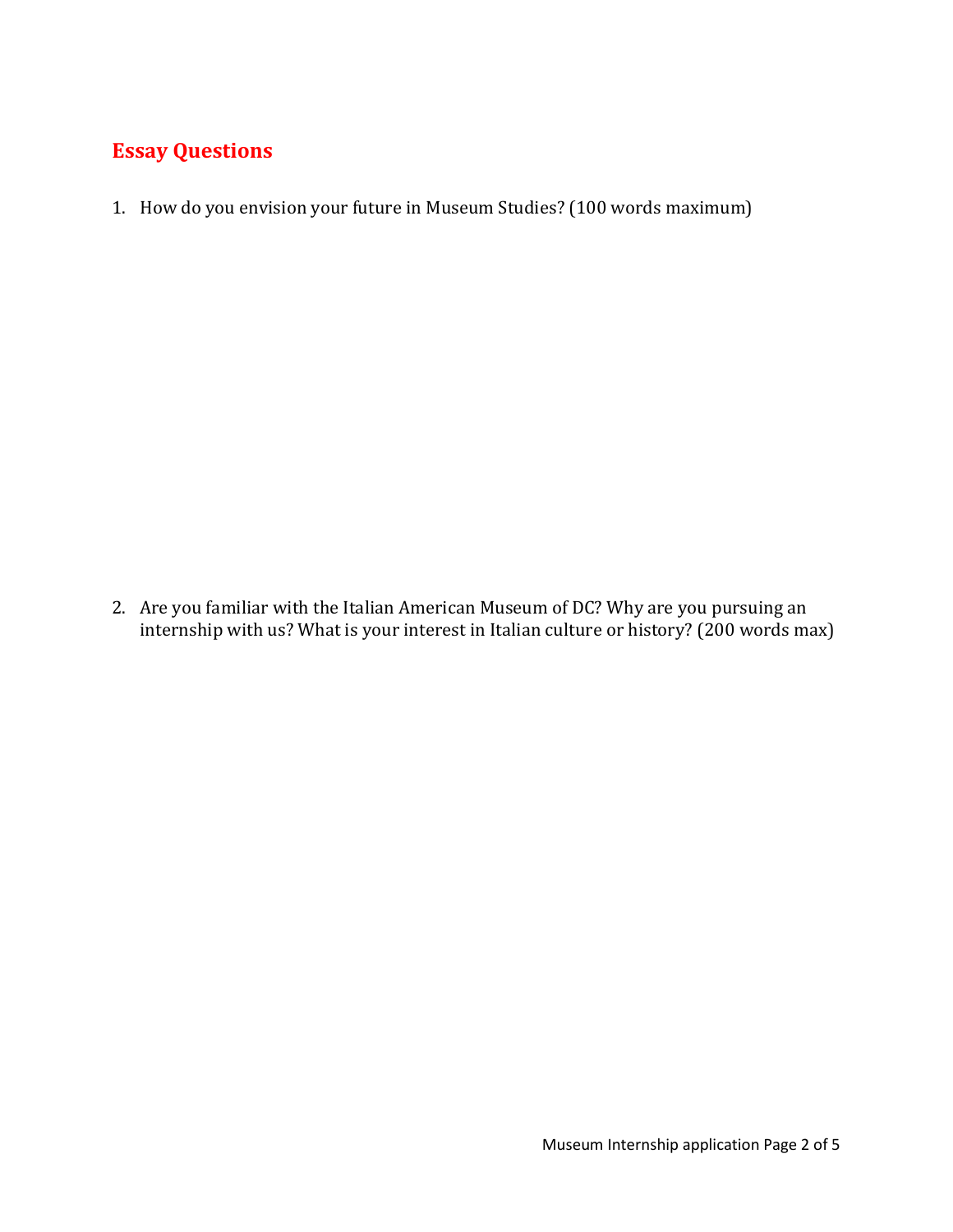### **Essay Questions**

1. How do you envision your future in Museum Studies? (100 words maximum)

2. Are you familiar with the Italian American Museum of DC? Why are you pursuing an internship with us? What is your interest in Italian culture or history? (200 words max)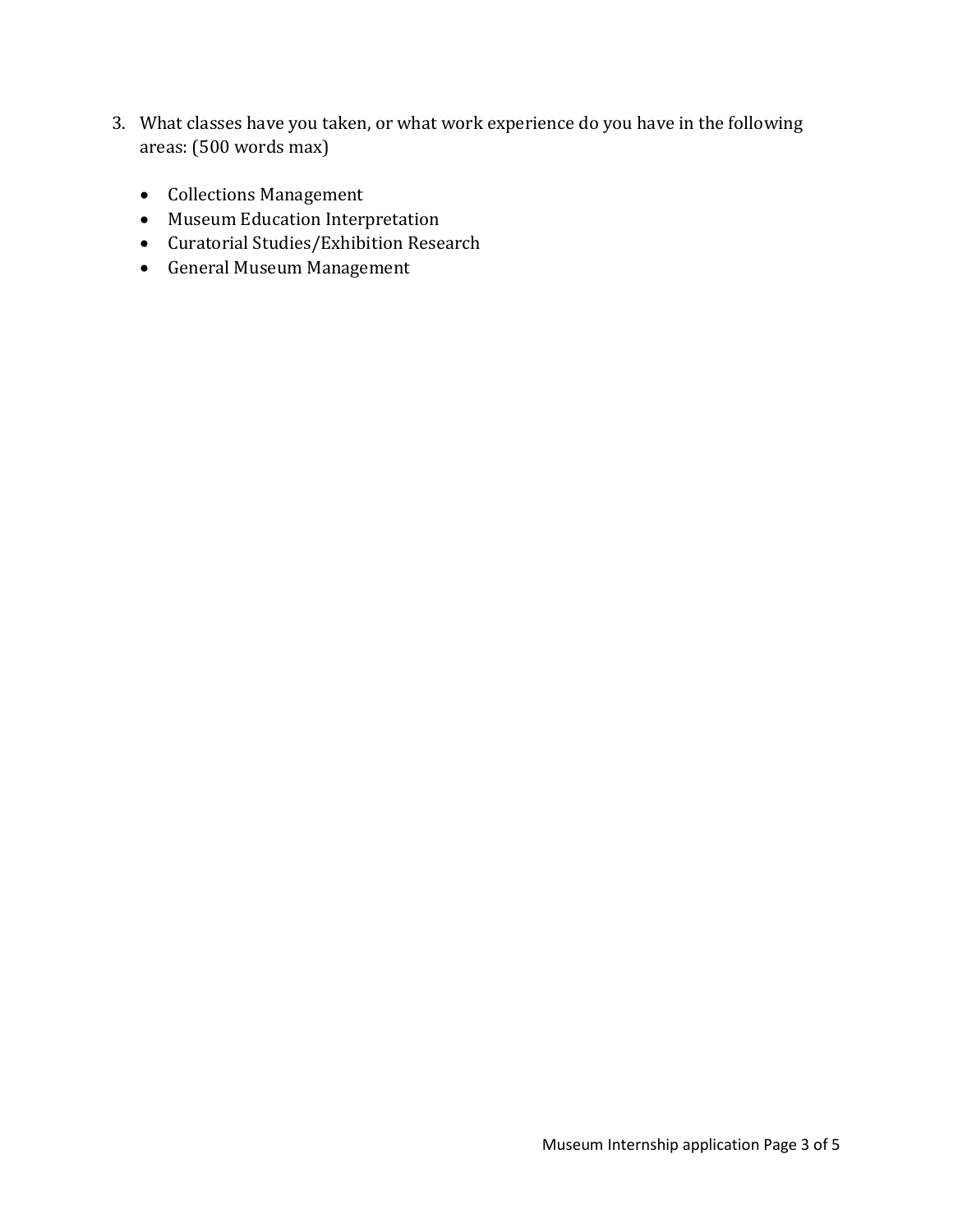- 3. What classes have you taken, or what work experience do you have in the following areas: (500 words max)
	- Collections Management
	- Museum Education Interpretation
	- Curatorial Studies/Exhibition Research
	- General Museum Management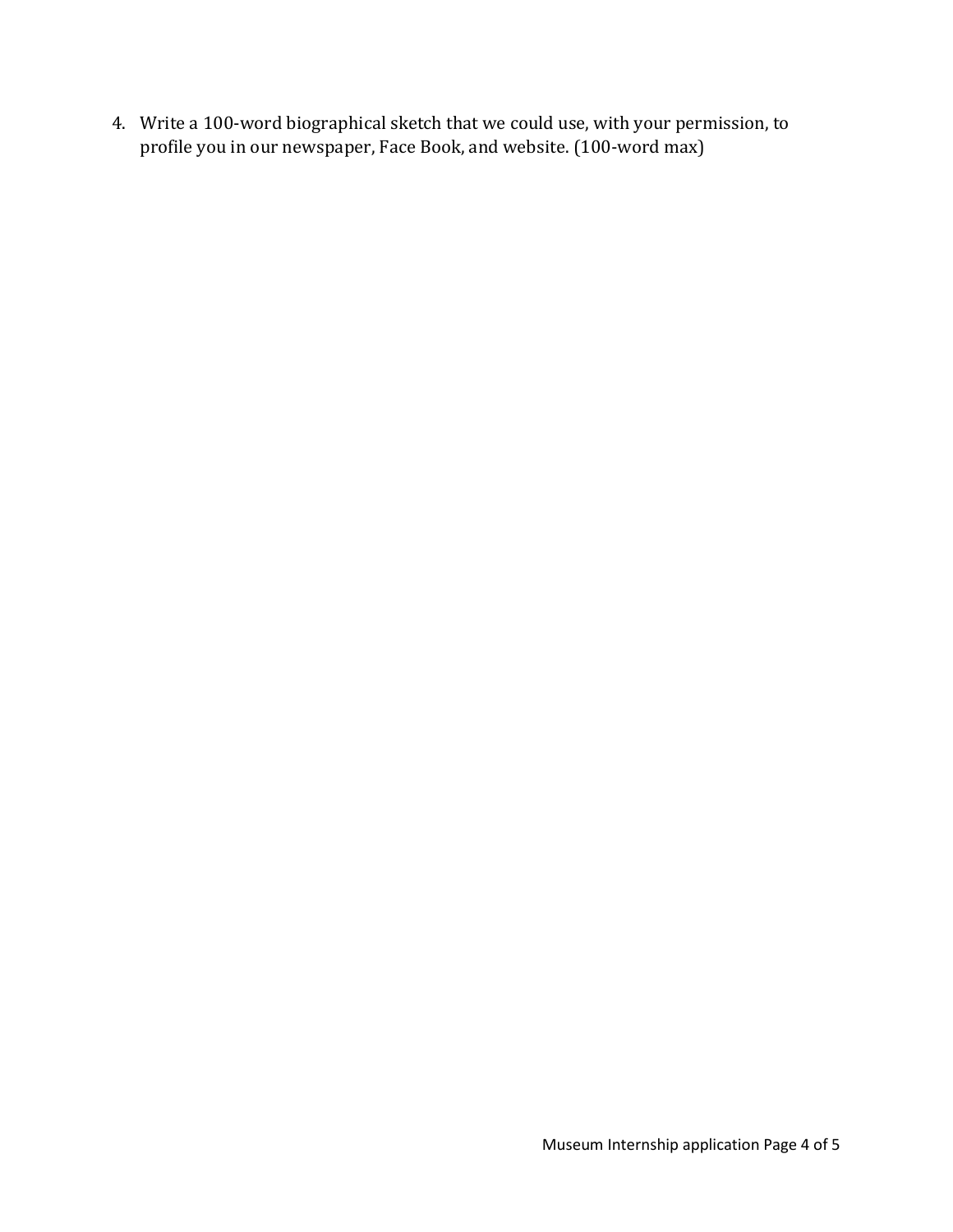4. Write a 100-word biographical sketch that we could use, with your permission, to profile you in our newspaper, Face Book, and website. (100-word max)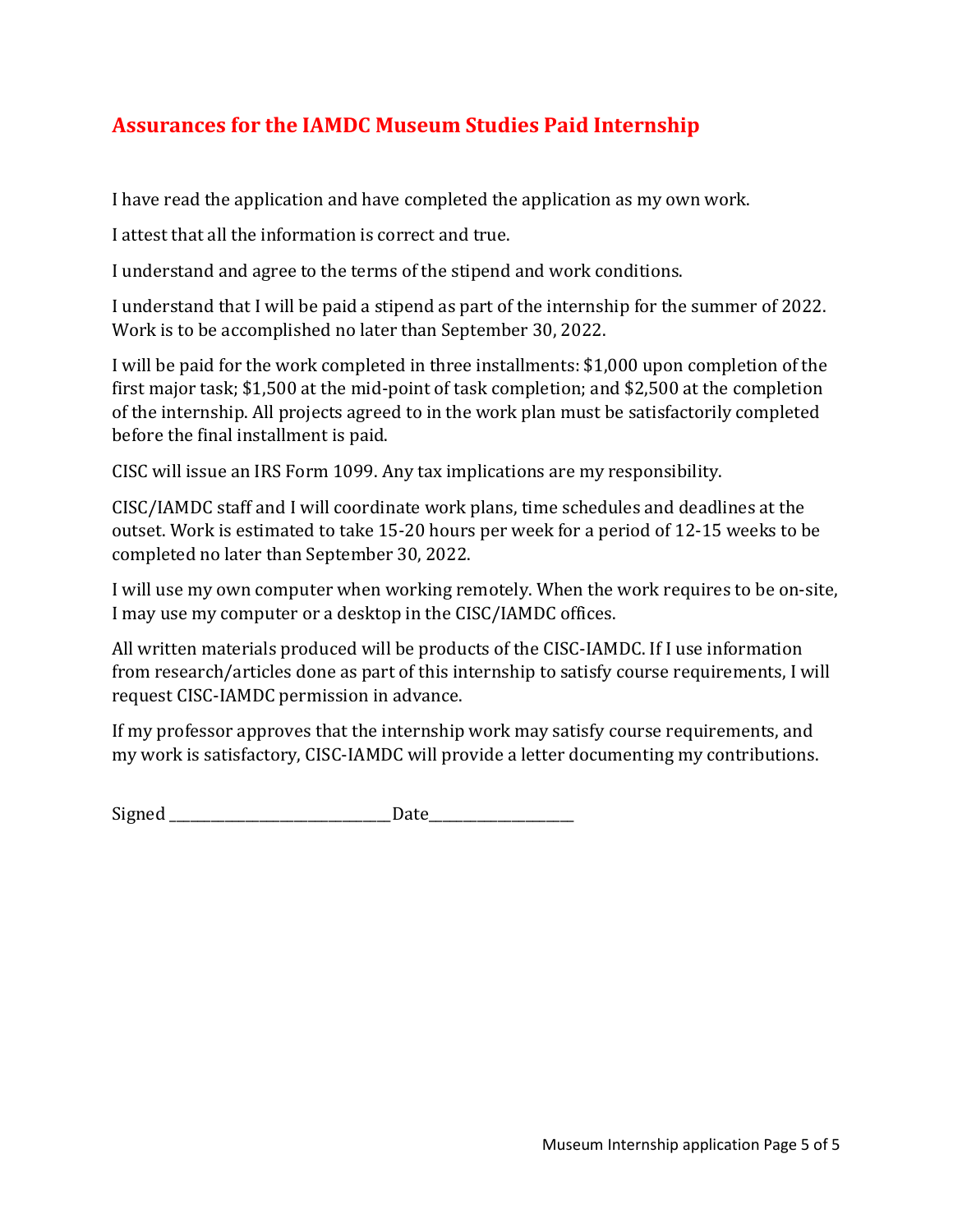# **Assurances for the IAMDC Museum Studies Paid Internship**

I have read the application and have completed the application as my own work.

I attest that all the information is correct and true.

I understand and agree to the terms of the stipend and work conditions.

I understand that I will be paid a stipend as part of the internship for the summer of 2022. Work is to be accomplished no later than September 30, 2022.

I will be paid for the work completed in three installments: \$1,000 upon completion of the first major task; \$1,500 at the mid-point of task completion; and \$2,500 at the completion of the internship. All projects agreed to in the work plan must be satisfactorily completed before the final installment is paid.

CISC will issue an IRS Form 1099. Any tax implications are my responsibility.

CISC/IAMDC staff and I will coordinate work plans, time schedules and deadlines at the outset. Work is estimated to take 15-20 hours per week for a period of 12-15 weeks to be completed no later than September 30, 2022.

I will use my own computer when working remotely. When the work requires to be on-site, I may use my computer or a desktop in the CISC/IAMDC offices.

All written materials produced will be products of the CISC-IAMDC. If I use information from research/articles done as part of this internship to satisfy course requirements, I will request CISC-IAMDC permission in advance.

If my professor approves that the internship work may satisfy course requirements, and my work is satisfactory, CISC-IAMDC will provide a letter documenting my contributions.

Signed Date